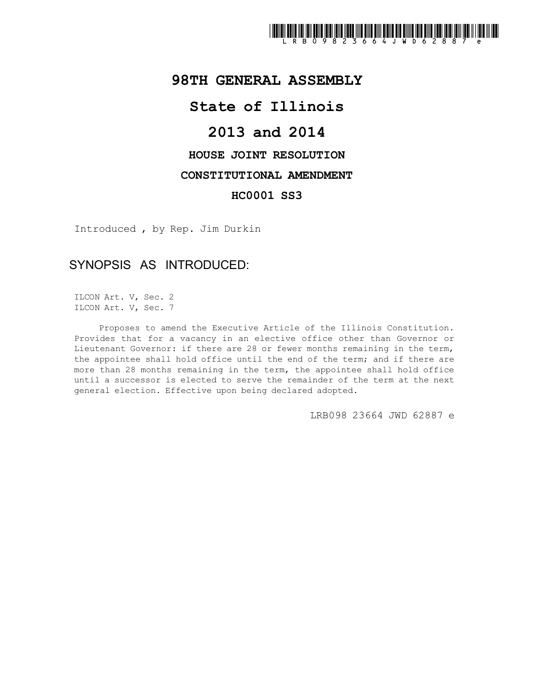

## **98TH GENERAL ASSEMBLY**

## **State of Illinois**

# **2013 and 2014**

### **HOUSE JOINT RESOLUTION**

#### **CONSTITUTIONAL AMENDMENT**

#### **HC0001 SS3**

Introduced , by Rep. Jim Durkin

## SYNOPSIS AS INTRODUCED:

ILCON Art. V, Sec. 2 ILCON Art. V, Sec. 7

Proposes to amend the Executive Article of the Illinois Constitution. Provides that for a vacancy in an elective office other than Governor or Lieutenant Governor: if there are 28 or fewer months remaining in the term, the appointee shall hold office until the end of the term; and if there are more than 28 months remaining in the term, the appointee shall hold office until a successor is elected to serve the remainder of the term at the next general election. Effective upon being declared adopted.

LRB098 23664 JWD 62887 e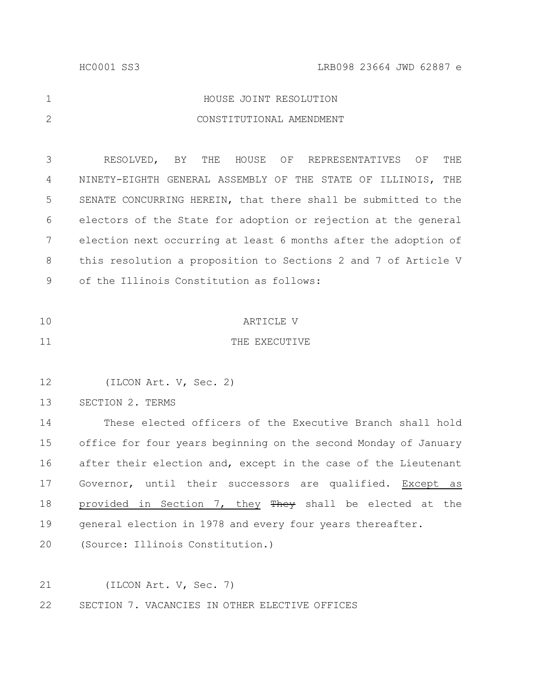|   | HOUSE JOINT RESOLUTION   |
|---|--------------------------|
| 2 | CONSTITUTIONAL AMENDMENT |

RESOLVED, BY THE HOUSE OF REPRESENTATIVES OF THE NINETY-EIGHTH GENERAL ASSEMBLY OF THE STATE OF ILLINOIS, THE SENATE CONCURRING HEREIN, that there shall be submitted to the electors of the State for adoption or rejection at the general election next occurring at least 6 months after the adoption of this resolution a proposition to Sections 2 and 7 of Article V of the Illinois Constitution as follows: 3 4 5 6 7 8 9

- ARTICLE V 10
- THE EXECUTIVE 11

(ILCON Art. V, Sec. 2) 12

SECTION 2. TERMS 13

These elected officers of the Executive Branch shall hold office for four years beginning on the second Monday of January after their election and, except in the case of the Lieutenant Governor, until their successors are qualified. Except as provided in Section 7, they They shall be elected at the general election in 1978 and every four years thereafter. 14 15 16 17 18 19

(Source: Illinois Constitution.) 20

(ILCON Art. V, Sec. 7) SECTION 7. VACANCIES IN OTHER ELECTIVE OFFICES 21 22